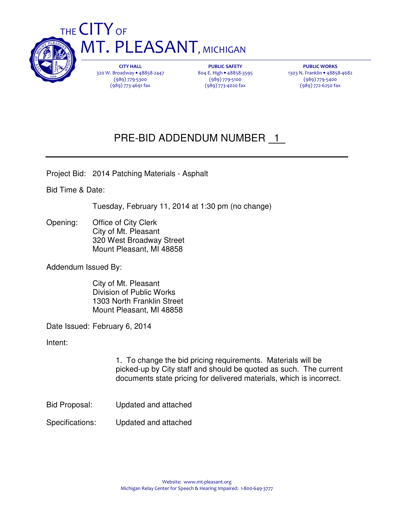

THE CITY OF **MT. PLEASANT, MICHIGAN** 

> CITY HALL 320 W. Broadway • 48858-2447 (989) 779-5300 (989) 773-4691 fax

PUBLIC SAFETY 804 E. High • 48858-3595 (989) 779-5100 (989) 773-4020 fax

PUBLIC WORKS 1303 N. Franklin • 48858-4682 (989) 779-5400 (989) 772-6250 fax

## PRE-BID ADDENDUM NUMBER 1

Project Bid: 2014 Patching Materials - Asphalt

Bid Time & Date:

Tuesday, February 11, 2014 at 1:30 pm (no change)

Opening: Office of City Clerk City of Mt. Pleasant 320 West Broadway Street Mount Pleasant, MI 48858

Addendum Issued By:

 City of Mt. Pleasant Division of Public Works 1303 North Franklin Street Mount Pleasant, MI 48858

Date Issued: February 6, 2014

Intent:

1. To change the bid pricing requirements. Materials will be picked-up by City staff and should be quoted as such. The current documents state pricing for delivered materials, which is incorrect.

- Bid Proposal: Updated and attached
- Specifications: Updated and attached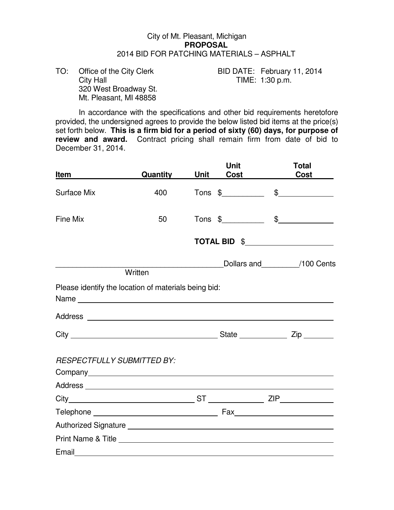## City of Mt. Pleasant, Michigan **PROPOSAL**  2014 BID FOR PATCHING MATERIALS – ASPHALT

 320 West Broadway St. Mt. Pleasant, MI 48858

TO: Office of the City Clerk BID DATE: February 11, 2014<br>City Hall TIME: 1:30 p.m. TIME:  $1:30$  p.m.

 In accordance with the specifications and other bid requirements heretofore provided, the undersigned agrees to provide the below listed bid items at the price(s) set forth below. **This is a firm bid for a period of sixty (60) days, for purpose of review and award.** Contract pricing shall remain firm from date of bid to December 31, 2014.

| Item                              | Quantity                                             | Unit | <b>Unit</b><br>Cost | <b>Total</b><br><b>Cost</b>  |
|-----------------------------------|------------------------------------------------------|------|---------------------|------------------------------|
| <b>Surface Mix</b>                | 400                                                  |      |                     | $Tons$ \$ $\qquad \qquad$ \$ |
| Fine Mix                          | 50                                                   |      | $Tons$ \$           | $\frac{1}{2}$                |
|                                   |                                                      |      |                     | TOTAL BID \$                 |
|                                   | Written                                              |      |                     | Dollars and 100 Cents        |
|                                   |                                                      |      |                     |                              |
|                                   | Please identify the location of materials being bid: |      |                     |                              |
|                                   |                                                      |      |                     |                              |
|                                   |                                                      |      |                     |                              |
| <b>RESPECTFULLY SUBMITTED BY:</b> |                                                      |      |                     |                              |
|                                   |                                                      |      |                     |                              |
|                                   |                                                      |      |                     |                              |
|                                   |                                                      |      |                     |                              |
|                                   |                                                      |      |                     |                              |
|                                   |                                                      |      |                     |                              |
|                                   |                                                      |      |                     |                              |
| Email                             |                                                      |      |                     |                              |